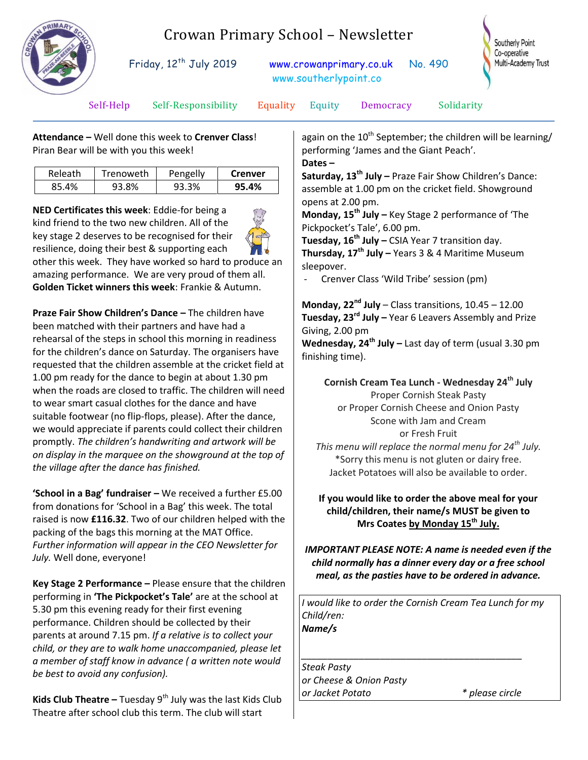

## Crowan Primary School – Newsletter

Friday, 12<sup>th</sup> July 2019 [www.crowanprimary.co.uk](http://www.crowanprimary.co.uk/) No. 490 www.southerlypoint.co



Self-Help Self-Responsibility Equality Equity Democracy Solidarity

**Attendance –** Well done this week to **Crenver Class**! Piran Bear will be with you this week!

| Releath | Trenoweth | Pengelly | <b>Crenver</b> |
|---------|-----------|----------|----------------|
| 85.4%   | 93.8%     | 93.3%    | 95.4%          |

**NED Certificates this week**: Eddie-for being a kind friend to the two new children. All of the key stage 2 deserves to be recognised for their resilience, doing their best & supporting each other this week. They have worked so hard to produce an amazing performance. We are very proud of them all. **Golden Ticket winners this week**: Frankie & Autumn.

**Praze Fair Show Children's Dance –** The children have been matched with their partners and have had a rehearsal of the steps in school this morning in readiness for the children's dance on Saturday. The organisers have requested that the children assemble at the cricket field at 1.00 pm ready for the dance to begin at about 1.30 pm when the roads are closed to traffic. The children will need to wear smart casual clothes for the dance and have suitable footwear (no flip-flops, please). After the dance, we would appreciate if parents could collect their children promptly. *The children's handwriting and artwork will be on display in the marquee on the showground at the top of the village after the dance has finished.*

**'School in a Bag' fundraiser –** We received a further £5.00 from donations for 'School in a Bag' this week. The total raised is now **£116.32**. Two of our children helped with the packing of the bags this morning at the MAT Office. *Further information will appear in the CEO Newsletter for July.* Well done, everyone!

**Key Stage 2 Performance –** Please ensure that the children performing in **'The Pickpocket's Tale'** are at the school at 5.30 pm this evening ready for their first evening performance. Children should be collected by their parents at around 7.15 pm. *If a relative is to collect your child, or they are to walk home unaccompanied, please let a member of staff know in advance ( a written note would be best to avoid any confusion).*

**Kids Club Theatre** – Tuesday 9<sup>th</sup> July was the last Kids Club Theatre after school club this term. The club will start

again on the  $10^{th}$  September; the children will be learning/ performing 'James and the Giant Peach'. **Dates –**

**Saturday, 13th July –** Praze Fair Show Children's Dance: assemble at 1.00 pm on the cricket field. Showground opens at 2.00 pm.

**Monday, 15th July –** Key Stage 2 performance of 'The Pickpocket's Tale', 6.00 pm.

**Tuesday, 16th July –** CSIA Year 7 transition day. **Thursday, 17th July –** Years 3 & 4 Maritime Museum sleepover.

Crenver Class 'Wild Tribe' session (pm)

**Monday, 22nd July** – Class transitions, 10.45 – 12.00 **Tuesday, 23rd July –** Year 6 Leavers Assembly and Prize Giving, 2.00 pm

**Wednesday, 24th July –** Last day of term (usual 3.30 pm finishing time).

**Cornish Cream Tea Lunch - Wednesday 24th July** Proper Cornish Steak Pasty or Proper Cornish Cheese and Onion Pasty Scone with Jam and Cream or Fresh Fruit *This menu will replace the normal menu for 24th July.* \*Sorry this menu is not gluten or dairy free.

Jacket Potatoes will also be available to order.

## **If you would like to order the above meal for your child/children, their name/s MUST be given to Mrs Coates by Monday 15th July.**

*IMPORTANT PLEASE NOTE: A name is needed even if the child normally has a dinner every day or a free school meal, as the pasties have to be ordered in advance.*

*I would like to order the Cornish Cream Tea Lunch for my Child/ren: Name/s*

*\_\_\_\_\_\_\_\_\_\_\_\_\_\_\_\_\_\_\_\_\_\_\_\_\_\_\_\_\_\_\_\_\_\_\_\_\_\_\_\_\_\_* 

*Steak Pasty or Cheese & Onion Pasty or Jacket Potato \* please circle*